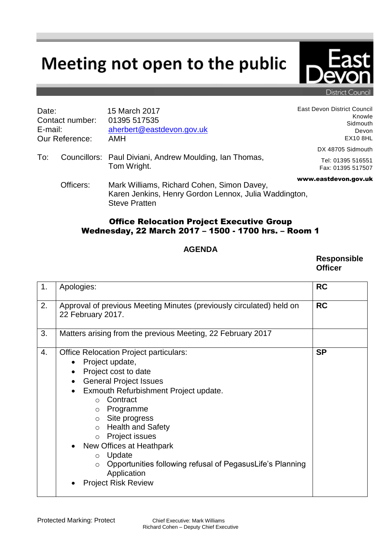## Meeting not open to the public



District Council

| Date:<br>Contact number:<br>E-mail:<br>Our Reference: |           | 15 March 2017<br>01395 517535<br>aherbert@eastdevon.gov.uk<br><b>AMH</b>                                                    | East Devon District Council<br>Knowle<br>Sidmouth<br>Devon<br><b>EX10 8HL</b> |
|-------------------------------------------------------|-----------|-----------------------------------------------------------------------------------------------------------------------------|-------------------------------------------------------------------------------|
| To:                                                   |           | Councillors: Paul Diviani, Andrew Moulding, Ian Thomas,<br>Tom Wright.                                                      | DX 48705 Sidmouth<br>Tel: 01395 516551                                        |
|                                                       |           |                                                                                                                             | Fax: 01395 517507                                                             |
|                                                       | Officers: | Mark Williams, Richard Cohen, Simon Davey,<br>Karen Jenkins, Henry Gordon Lennox, Julia Waddington,<br><b>Steve Pratten</b> | www.eastdevon.gov.uk                                                          |

## Office Relocation Project Executive Group Wednesday, 22 March 2017 – 1500 - 1700 hrs. – Room 1

## **AGENDA**

**Responsible Officer**

| 1. | Apologies:                                                                                                                                                                                                                                                                                                                                                                                                                                                                                                                                    | <b>RC</b> |
|----|-----------------------------------------------------------------------------------------------------------------------------------------------------------------------------------------------------------------------------------------------------------------------------------------------------------------------------------------------------------------------------------------------------------------------------------------------------------------------------------------------------------------------------------------------|-----------|
| 2. | Approval of previous Meeting Minutes (previously circulated) held on<br>22 February 2017.                                                                                                                                                                                                                                                                                                                                                                                                                                                     | <b>RC</b> |
| 3. | Matters arising from the previous Meeting, 22 February 2017                                                                                                                                                                                                                                                                                                                                                                                                                                                                                   |           |
| 4. | <b>Office Relocation Project particulars:</b><br>Project update,<br>$\bullet$<br>Project cost to date<br>$\bullet$<br><b>General Project Issues</b><br>$\bullet$<br>Exmouth Refurbishment Project update.<br>$\bullet$<br>Contract<br>$\bigcap$<br>Programme<br>$\circ$<br>Site progress<br>$\circ$<br><b>Health and Safety</b><br>$\circ$<br>Project issues<br>$\circ$<br>New Offices at Heathpark<br>Update<br>$\circ$<br>Opportunities following refusal of PegasusLife's Planning<br>$\circ$<br>Application<br><b>Project Risk Review</b> | <b>SP</b> |